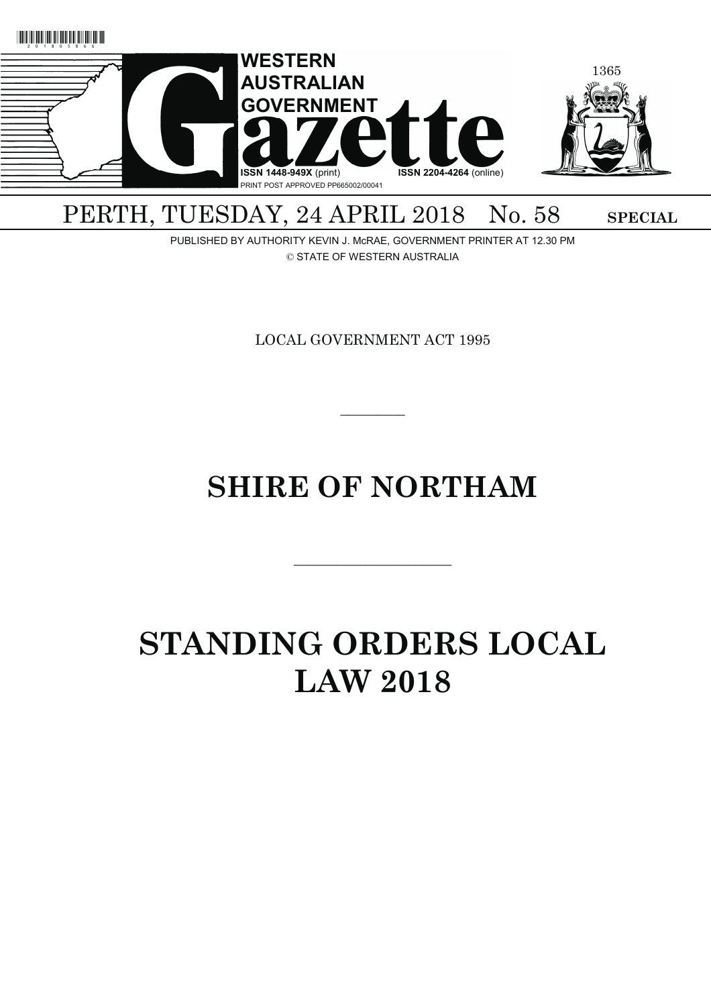

## PERTH, TUESDAY, 24 APRIL 2018 No. 58 SPECIAL

PUBLISHED BY AUTHORITY KEVIN J. McRAE, GOVERNMENT PRINTER AT 12.30 PM © STATE OF WESTERN AUSTRALIA

LOCAL GOVERNMENT ACT 1995

# **SHIRE OF NORTHAM**

———————————

 $\overline{\phantom{a}}$ 

# **STANDING ORDERS LOCAL LAW 2018**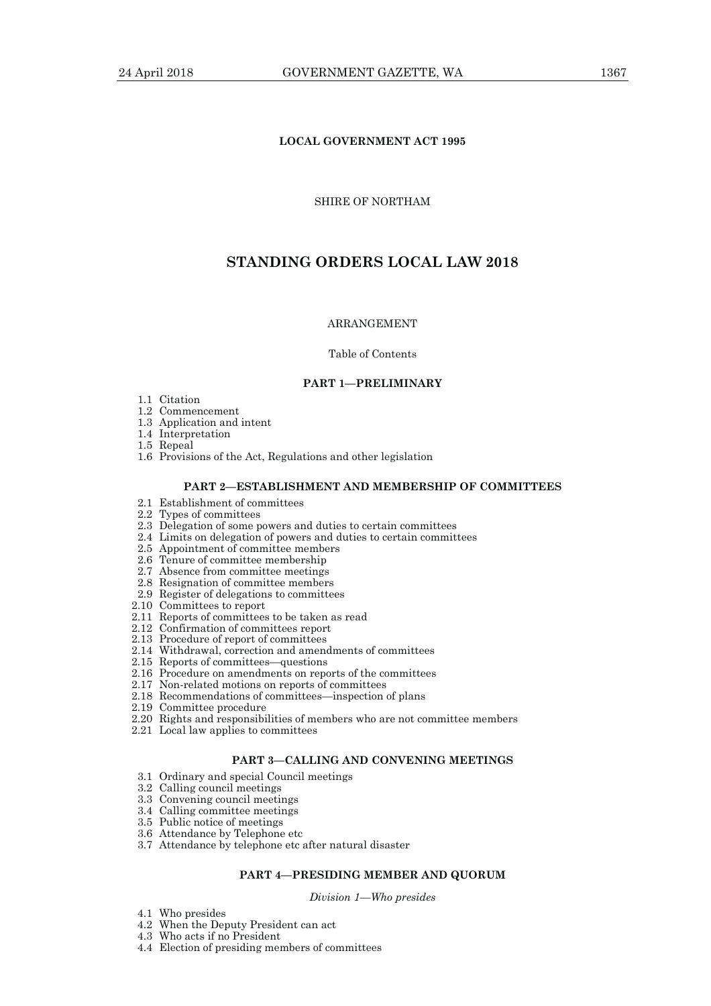## **LOCAL GOVERNMENT ACT 1995**

## SHIRE OF NORTHAM

## **STANDING ORDERS LOCAL LAW 2018**

#### ARRANGEMENT

#### Table of Contents

#### **PART 1—PRELIMINARY**

- 1.1 Citation
- 1.2 Commencement
- 1.3 Application and intent
- 1.4 Interpretation
- 1.5 Repeal
- 1.6 Provisions of the Act, Regulations and other legislation

#### **PART 2—ESTABLISHMENT AND MEMBERSHIP OF COMMITTEES**

- 2.1 Establishment of committees
- 2.2 Types of committees
- 2.3 Delegation of some powers and duties to certain committees
- 2.4 Limits on delegation of powers and duties to certain committees
- 2.5 Appointment of committee members
- 2.6 Tenure of committee membership
- 2.7 Absence from committee meetings
- 2.8 Resignation of committee members
- 2.9 Register of delegations to committees
- 2.10 Committees to report
- 2.11 Reports of committees to be taken as read
- 2.12 Confirmation of committees report
- 2.13 Procedure of report of committees
- 2.14 Withdrawal, correction and amendments of committees
- 2.15 Reports of committees—questions
	- 2.16 Procedure on amendments on reports of the committees
	- 2.17 Non-related motions on reports of committees
	- 2.18 Recommendations of committees—inspection of plans
	- 2.19 Committee procedure
	- 2.20 Rights and responsibilities of members who are not committee members
	- 2.21 Local law applies to committees

#### **PART 3—CALLING AND CONVENING MEETINGS**

- 3.1 Ordinary and special Council meetings
- 3.2 Calling council meetings
- 3.3 Convening council meetings
- 3.4 Calling committee meetings
- 3.5 Public notice of meetings
- 3.6 Attendance by Telephone etc
- 3.7 Attendance by telephone etc after natural disaster

### **PART 4—PRESIDING MEMBER AND QUORUM**

*Division 1—Who presides* 

- 4.1 Who presides
- 4.2 When the Deputy President can act
- 4.3 Who acts if no President
- 4.4 Election of presiding members of committees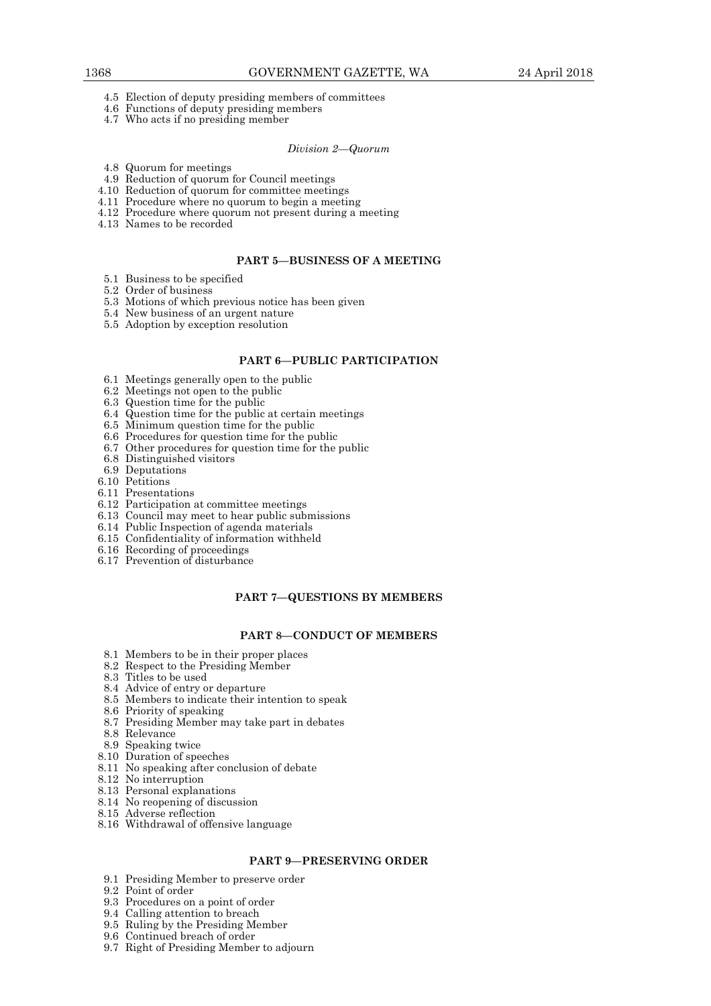- 4.5 Election of deputy presiding members of committees
- 4.6 Functions of deputy presiding members
- 4.7 Who acts if no presiding member

*Division 2—Quorum* 

- 4.8 Quorum for meetings
- 4.9 Reduction of quorum for Council meetings
- 4.10 Reduction of quorum for committee meetings
- 4.11 Procedure where no quorum to begin a meeting
- 4.12 Procedure where quorum not present during a meeting
- 4.13 Names to be recorded

## **PART 5—BUSINESS OF A MEETING**

- 5.1 Business to be specified
- 5.2 Order of business
- 5.3 Motions of which previous notice has been given
- 5.4 New business of an urgent nature
- 5.5 Adoption by exception resolution

## **PART 6—PUBLIC PARTICIPATION**

- 6.1 Meetings generally open to the public
- 6.2 Meetings not open to the public
- 6.3 Question time for the public
- 6.4 Question time for the public at certain meetings
- 6.5 Minimum question time for the public
- 6.6 Procedures for question time for the public
- 6.7 Other procedures for question time for the public
- 6.8 Distinguished visitors
- 6.9 Deputations
- 6.10 Petitions
- 6.11 Presentations
- 6.12 Participation at committee meetings
- 6.13 Council may meet to hear public submissions
- 6.14 Public Inspection of agenda materials
- 6.15 Confidentiality of information withheld
- 6.16 Recording of proceedings
- 6.17 Prevention of disturbance

## **PART 7—QUESTIONS BY MEMBERS**

#### **PART 8—CONDUCT OF MEMBERS**

- 8.1 Members to be in their proper places
- 8.2 Respect to the Presiding Member
- 8.3 Titles to be used
- 8.4 Advice of entry or departure
- 8.5 Members to indicate their intention to speak
- 8.6 Priority of speaking
- 8.7 Presiding Member may take part in debates
- 8.8 Relevance
- 8.9 Speaking twice
- 8.10 Duration of speeches
- 8.11 No speaking after conclusion of debate
- 8.12 No interruption
- 8.13 Personal explanations
- 8.14 No reopening of discussion
- 8.15 Adverse reflection
- 8.16 Withdrawal of offensive language

## **PART 9—PRESERVING ORDER**

- 9.1 Presiding Member to preserve order
- 9.2 Point of order
- 9.3 Procedures on a point of order
- 9.4 Calling attention to breach
- 9.5 Ruling by the Presiding Member
- 9.6 Continued breach of order
- 9.7 Right of Presiding Member to adjourn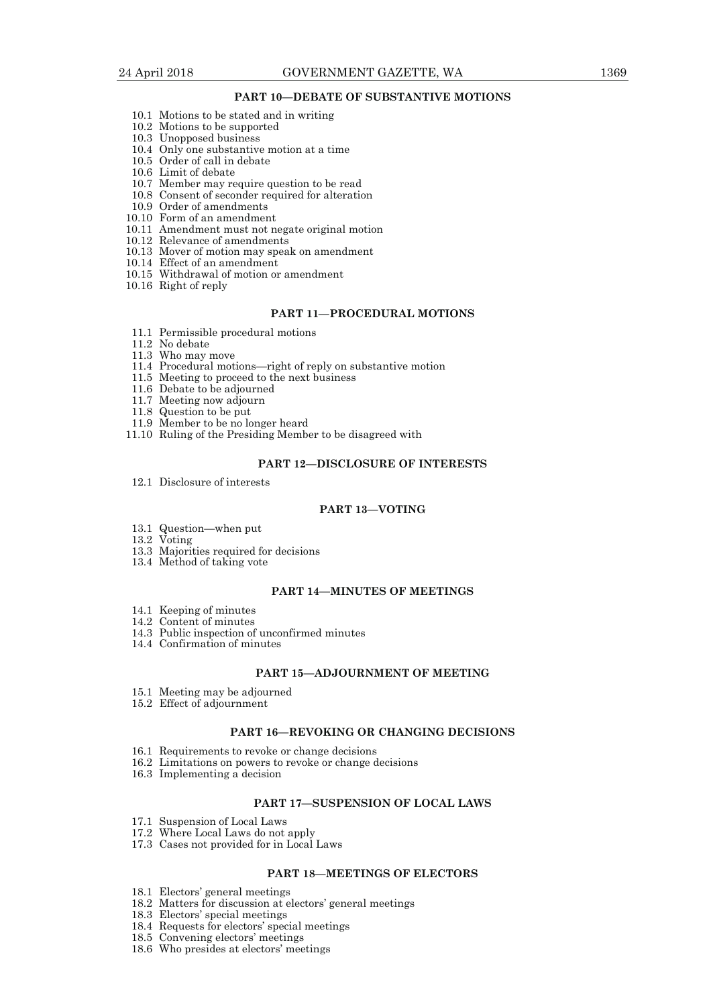## **PART 10—DEBATE OF SUBSTANTIVE MOTIONS**

- 10.1 Motions to be stated and in writing
- 10.2 Motions to be supported
- 10.3 Unopposed business
- 10.4 Only one substantive motion at a time
- 10.5 Order of call in debate
- 10.6 Limit of debate
- 10.7 Member may require question to be read
- 10.8 Consent of seconder required for alteration
- 10.9 Order of amendments
- 10.10 Form of an amendment
- 10.11 Amendment must not negate original motion
- 10.12 Relevance of amendments
- 10.13 Mover of motion may speak on amendment
- 10.14 Effect of an amendment
- 10.15 Withdrawal of motion or amendment
- 10.16 Right of reply

## **PART 11—PROCEDURAL MOTIONS**

- 11.1 Permissible procedural motions
- 11.2 No debate
- 11.3 Who may move
- 11.4 Procedural motions—right of reply on substantive motion
- 11.5 Meeting to proceed to the next business
- 11.6 Debate to be adjourned
- 11.7 Meeting now adjourn
- 11.8 Question to be put
- 11.9 Member to be no longer heard
- 11.10 Ruling of the Presiding Member to be disagreed with

#### **PART 12—DISCLOSURE OF INTERESTS**

12.1 Disclosure of interests

#### **PART 13—VOTING**

- 13.1 Question—when put
- 13.2 Voting
- 13.3 Majorities required for decisions
- 13.4 Method of taking vote

## **PART 14—MINUTES OF MEETINGS**

- 14.1 Keeping of minutes
- 14.2 Content of minutes
- 14.3 Public inspection of unconfirmed minutes
- 14.4 Confirmation of minutes

#### **PART 15—ADJOURNMENT OF MEETING**

- 15.1 Meeting may be adjourned
- 15.2 Effect of adjournment

#### **PART 16—REVOKING OR CHANGING DECISIONS**

- 16.1 Requirements to revoke or change decisions
- 16.2 Limitations on powers to revoke or change decisions
- 16.3 Implementing a decision

## **PART 17—SUSPENSION OF LOCAL LAWS**

- 17.1 Suspension of Local Laws
- 17.2 Where Local Laws do not apply
- 17.3 Cases not provided for in Local Laws

## **PART 18—MEETINGS OF ELECTORS**

- 18.1 Electors' general meetings
- 18.2 Matters for discussion at electors' general meetings
- 18.3 Electors' special meetings
- 18.4 Requests for electors' special meetings
- 18.5 Convening electors' meetings
- 18.6 Who presides at electors' meetings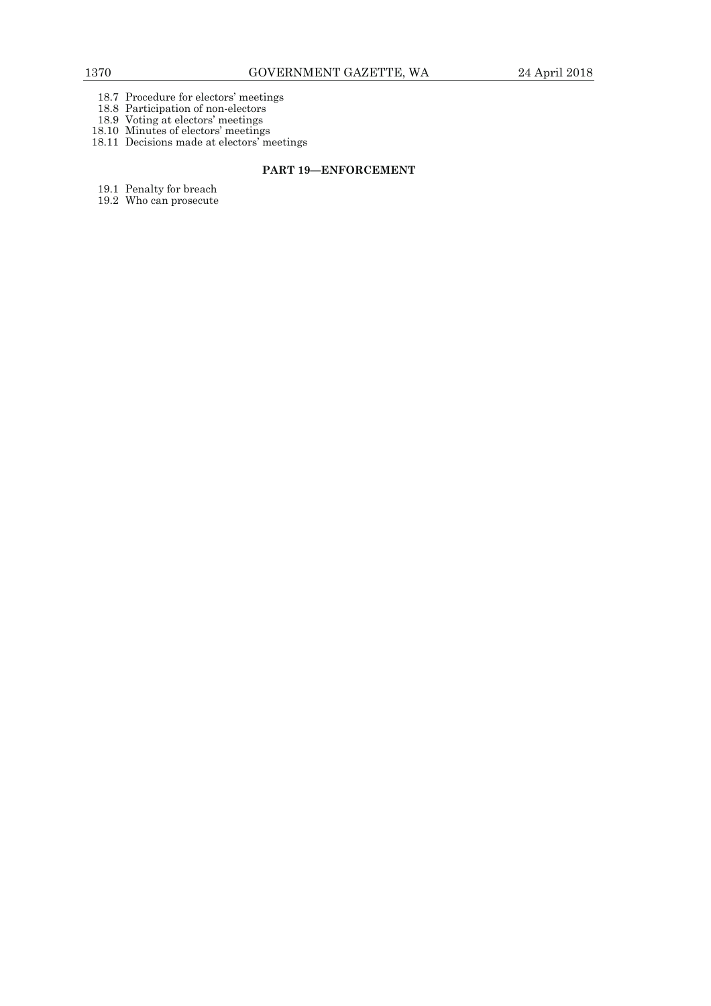- 18.7 Procedure for electors' meetings
- 18.8 Participation of non-electors
- 18.9 Voting at electors' meetings
- 18.10 Minutes of electors' meetings
- 18.11 Decisions made at electors' meetings

## **PART 19—ENFORCEMENT**

- 19.1 Penalty for breach
- 19.2 Who can prosecute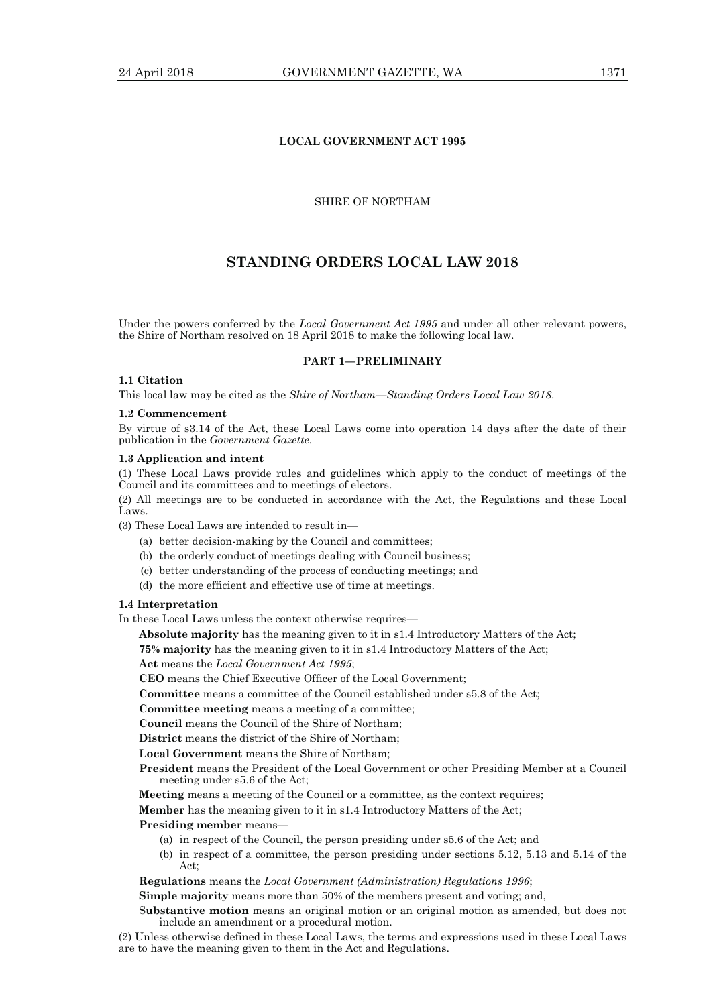## **LOCAL GOVERNMENT ACT 1995**

## SHIRE OF NORTHAM

## **STANDING ORDERS LOCAL LAW 2018**

Under the powers conferred by the *Local Government Act 1995* and under all other relevant powers, the Shire of Northam resolved on 18 April 2018 to make the following local law.

#### **PART 1—PRELIMINARY**

## **1.1 Citation**

This local law may be cited as the *Shire of Northam—Standing Orders Local Law 2018*.

#### **1.2 Commencement**

By virtue of s3.14 of the Act, these Local Laws come into operation 14 days after the date of their publication in the *Government Gazette*.

#### **1.3 Application and intent**

(1) These Local Laws provide rules and guidelines which apply to the conduct of meetings of the Council and its committees and to meetings of electors.

(2) All meetings are to be conducted in accordance with the Act, the Regulations and these Local Laws.

(3) These Local Laws are intended to result in—

- (a) better decision-making by the Council and committees;
- (b) the orderly conduct of meetings dealing with Council business;
- (c) better understanding of the process of conducting meetings; and
- (d) the more efficient and effective use of time at meetings.

#### **1.4 Interpretation**

In these Local Laws unless the context otherwise requires—

**Absolute majority** has the meaning given to it in s1.4 Introductory Matters of the Act;

**75% majority** has the meaning given to it in s1.4 Introductory Matters of the Act;

**Act** means the *Local Government Act 1995*;

**CEO** means the Chief Executive Officer of the Local Government;

**Committee** means a committee of the Council established under s5.8 of the Act;

**Committee meeting** means a meeting of a committee;

**Council** means the Council of the Shire of Northam;

**District** means the district of the Shire of Northam;

**Local Government** means the Shire of Northam;

**President** means the President of the Local Government or other Presiding Member at a Council meeting under s5.6 of the Act;

**Meeting** means a meeting of the Council or a committee, as the context requires;

**Member** has the meaning given to it in s1.4 Introductory Matters of the Act;

**Presiding member** means—

- (a) in respect of the Council, the person presiding under s5.6 of the Act; and
- (b) in respect of a committee, the person presiding under sections 5.12, 5.13 and 5.14 of the Act;

**Regulations** means the *Local Government (Administration) Regulations 1996*;

**Simple majority** means more than 50% of the members present and voting; and,

S**ubstantive motion** means an original motion or an original motion as amended, but does not include an amendment or a procedural motion.

(2) Unless otherwise defined in these Local Laws, the terms and expressions used in these Local Laws are to have the meaning given to them in the Act and Regulations.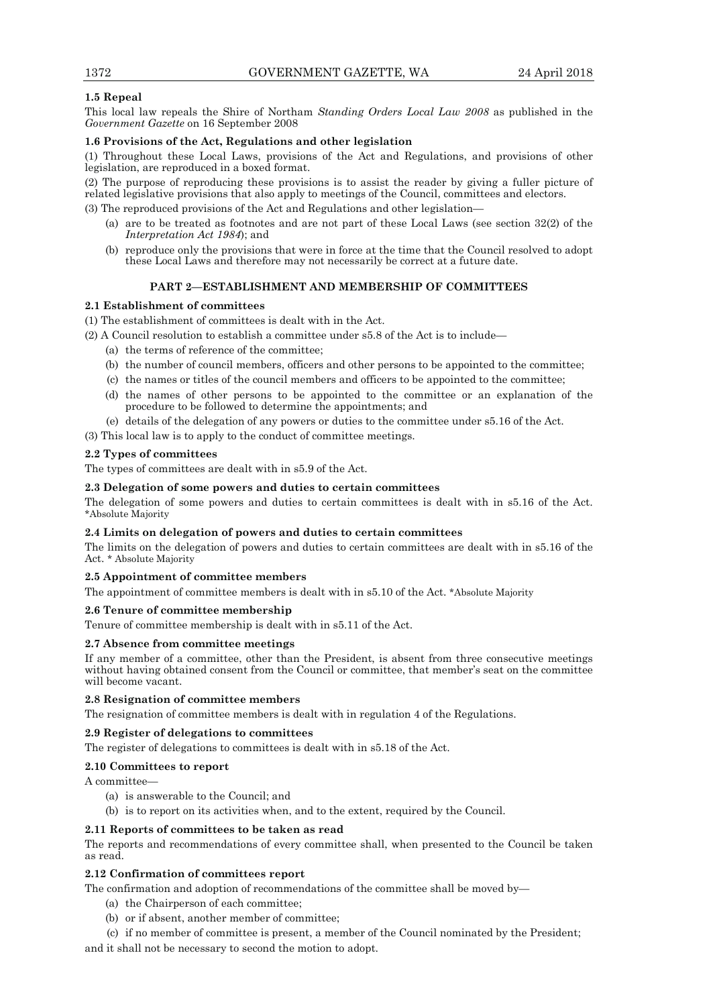## **1.5 Repeal**

This local law repeals the Shire of Northam *Standing Orders Local Law 2008* as published in the *Government Gazette* on 16 September 2008

## **1.6 Provisions of the Act, Regulations and other legislation**

(1) Throughout these Local Laws, provisions of the Act and Regulations, and provisions of other legislation, are reproduced in a boxed format.

(2) The purpose of reproducing these provisions is to assist the reader by giving a fuller picture of related legislative provisions that also apply to meetings of the Council, committees and electors.

(3) The reproduced provisions of the Act and Regulations and other legislation—

- (a) are to be treated as footnotes and are not part of these Local Laws (see section 32(2) of the *Interpretation Act 1984*); and
- (b) reproduce only the provisions that were in force at the time that the Council resolved to adopt these Local Laws and therefore may not necessarily be correct at a future date.

## **PART 2—ESTABLISHMENT AND MEMBERSHIP OF COMMITTEES**

## **2.1 Establishment of committees**

(1) The establishment of committees is dealt with in the Act.

(2) A Council resolution to establish a committee under s5.8 of the Act is to include—

- (a) the terms of reference of the committee;
- (b) the number of council members, officers and other persons to be appointed to the committee;
- (c) the names or titles of the council members and officers to be appointed to the committee;
- (d) the names of other persons to be appointed to the committee or an explanation of the procedure to be followed to determine the appointments; and
- (e) details of the delegation of any powers or duties to the committee under s5.16 of the Act.
- (3) This local law is to apply to the conduct of committee meetings.

## **2.2 Types of committees**

The types of committees are dealt with in s5.9 of the Act.

## **2.3 Delegation of some powers and duties to certain committees**

The delegation of some powers and duties to certain committees is dealt with in s5.16 of the Act. \*Absolute Majority

## **2.4 Limits on delegation of powers and duties to certain committees**

The limits on the delegation of powers and duties to certain committees are dealt with in s5.16 of the Act. \* Absolute Majority

## **2.5 Appointment of committee members**

The appointment of committee members is dealt with in s5.10 of the Act. \*Absolute Majority

## **2.6 Tenure of committee membership**

Tenure of committee membership is dealt with in s5.11 of the Act.

## **2.7 Absence from committee meetings**

If any member of a committee, other than the President, is absent from three consecutive meetings without having obtained consent from the Council or committee, that member's seat on the committee will become vacant.

## **2.8 Resignation of committee members**

The resignation of committee members is dealt with in regulation 4 of the Regulations.

## **2.9 Register of delegations to committees**

The register of delegations to committees is dealt with in s5.18 of the Act.

## **2.10 Committees to report**

A committee—

- (a) is answerable to the Council; and
- (b) is to report on its activities when, and to the extent, required by the Council.

## **2.11 Reports of committees to be taken as read**

The reports and recommendations of every committee shall, when presented to the Council be taken as read.

## **2.12 Confirmation of committees report**

The confirmation and adoption of recommendations of the committee shall be moved by—

- (a) the Chairperson of each committee;
- (b) or if absent, another member of committee;

 (c) if no member of committee is present, a member of the Council nominated by the President; and it shall not be necessary to second the motion to adopt.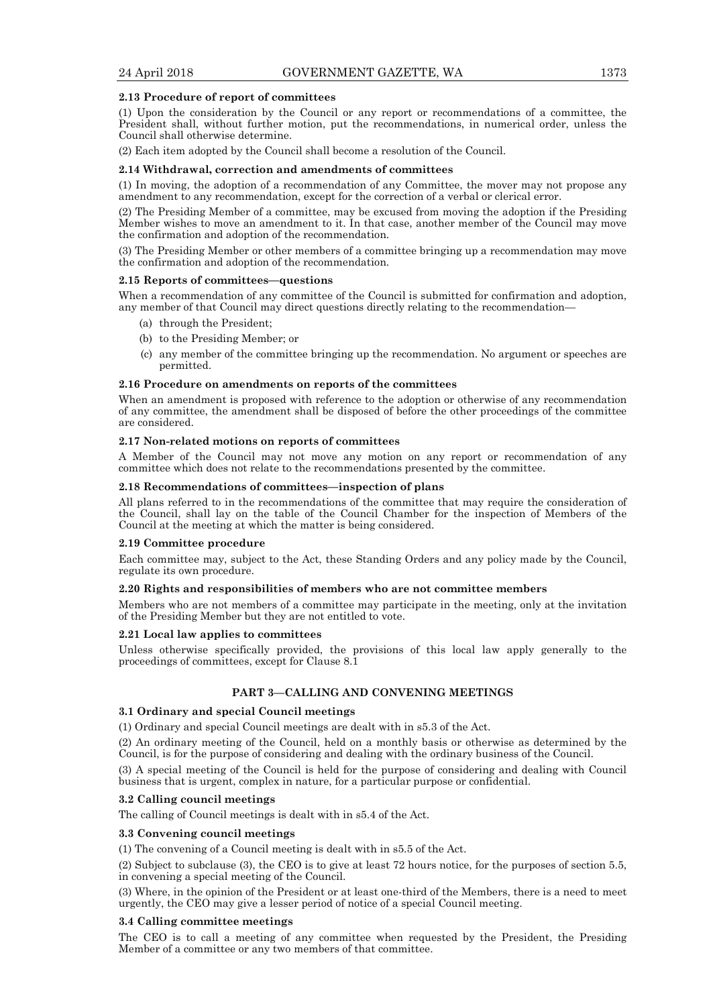#### **2.13 Procedure of report of committees**

(1) Upon the consideration by the Council or any report or recommendations of a committee, the President shall, without further motion, put the recommendations, in numerical order, unless the Council shall otherwise determine.

(2) Each item adopted by the Council shall become a resolution of the Council.

### **2.14 Withdrawal, correction and amendments of committees**

(1) In moving, the adoption of a recommendation of any Committee, the mover may not propose any amendment to any recommendation, except for the correction of a verbal or clerical error.

(2) The Presiding Member of a committee, may be excused from moving the adoption if the Presiding Member wishes to move an amendment to it. In that case, another member of the Council may move the confirmation and adoption of the recommendation.

(3) The Presiding Member or other members of a committee bringing up a recommendation may move the confirmation and adoption of the recommendation.

#### **2.15 Reports of committees—questions**

When a recommendation of any committee of the Council is submitted for confirmation and adoption, any member of that Council may direct questions directly relating to the recommendation—

- (a) through the President;
- (b) to the Presiding Member; or
- (c) any member of the committee bringing up the recommendation. No argument or speeches are permitted.

### **2.16 Procedure on amendments on reports of the committees**

When an amendment is proposed with reference to the adoption or otherwise of any recommendation of any committee, the amendment shall be disposed of before the other proceedings of the committee are considered.

### **2.17 Non-related motions on reports of committees**

A Member of the Council may not move any motion on any report or recommendation of any committee which does not relate to the recommendations presented by the committee.

### **2.18 Recommendations of committees—inspection of plans**

All plans referred to in the recommendations of the committee that may require the consideration of the Council, shall lay on the table of the Council Chamber for the inspection of Members of the Council at the meeting at which the matter is being considered.

#### **2.19 Committee procedure**

Each committee may, subject to the Act, these Standing Orders and any policy made by the Council, regulate its own procedure.

## **2.20 Rights and responsibilities of members who are not committee members**

Members who are not members of a committee may participate in the meeting, only at the invitation of the Presiding Member but they are not entitled to vote.

## **2.21 Local law applies to committees**

Unless otherwise specifically provided, the provisions of this local law apply generally to the proceedings of committees, except for Clause 8.1

## **PART 3—CALLING AND CONVENING MEETINGS**

## **3.1 Ordinary and special Council meetings**

(1) Ordinary and special Council meetings are dealt with in s5.3 of the Act.

(2) An ordinary meeting of the Council, held on a monthly basis or otherwise as determined by the Council, is for the purpose of considering and dealing with the ordinary business of the Council.

(3) A special meeting of the Council is held for the purpose of considering and dealing with Council business that is urgent, complex in nature, for a particular purpose or confidential.

## **3.2 Calling council meetings**

The calling of Council meetings is dealt with in s5.4 of the Act.

## **3.3 Convening council meetings**

(1) The convening of a Council meeting is dealt with in s5.5 of the Act.

(2) Subject to subclause (3), the CEO is to give at least 72 hours notice, for the purposes of section 5.5, in convening a special meeting of the Council.

(3) Where, in the opinion of the President or at least one-third of the Members, there is a need to meet urgently, the CEO may give a lesser period of notice of a special Council meeting.

## **3.4 Calling committee meetings**

The CEO is to call a meeting of any committee when requested by the President, the Presiding Member of a committee or any two members of that committee.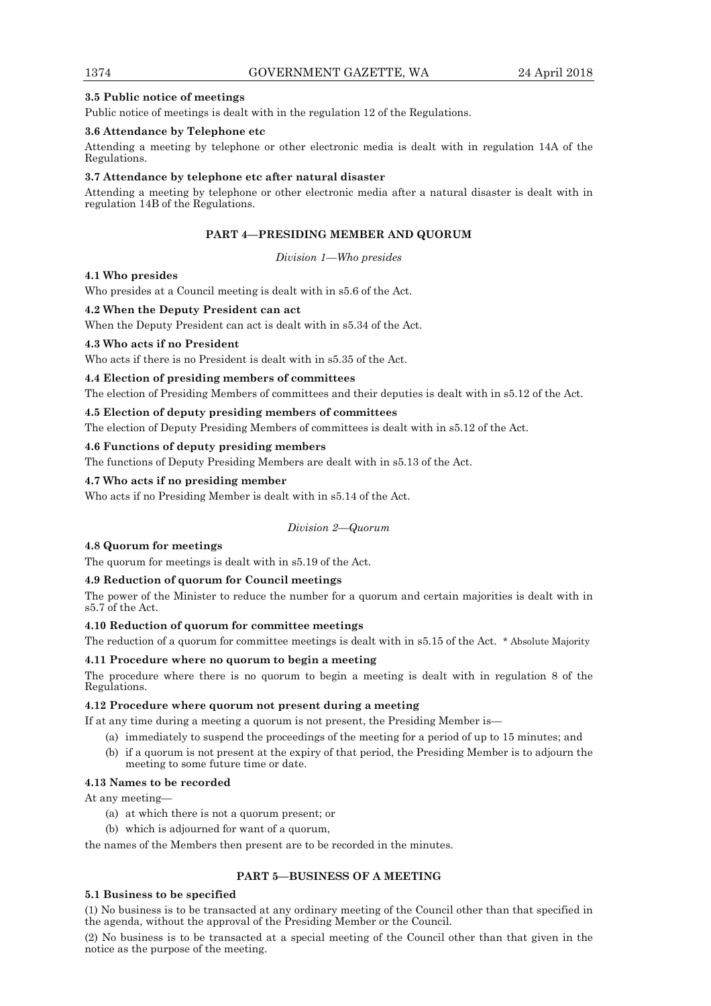## **3.5 Public notice of meetings**

Public notice of meetings is dealt with in the regulation 12 of the Regulations.

## **3.6 Attendance by Telephone etc**

Attending a meeting by telephone or other electronic media is dealt with in regulation 14A of the Regulations.

## **3.7 Attendance by telephone etc after natural disaster**

Attending a meeting by telephone or other electronic media after a natural disaster is dealt with in regulation 14B of the Regulations.

## **PART 4—PRESIDING MEMBER AND QUORUM**

*Division 1—Who presides* 

## **4.1 Who presides**

Who presides at a Council meeting is dealt with in s5.6 of the Act.

## **4.2 When the Deputy President can act**

When the Deputy President can act is dealt with in s5.34 of the Act.

## **4.3 Who acts if no President**

Who acts if there is no President is dealt with in s5.35 of the Act.

## **4.4 Election of presiding members of committees**

The election of Presiding Members of committees and their deputies is dealt with in s5.12 of the Act.

## **4.5 Election of deputy presiding members of committees**

The election of Deputy Presiding Members of committees is dealt with in s5.12 of the Act.

## **4.6 Functions of deputy presiding members**

The functions of Deputy Presiding Members are dealt with in s5.13 of the Act.

## **4.7 Who acts if no presiding member**

Who acts if no Presiding Member is dealt with in s5.14 of the Act.

## *Division 2—Quorum*

## **4.8 Quorum for meetings**

The quorum for meetings is dealt with in s5.19 of the Act.

## **4.9 Reduction of quorum for Council meetings**

The power of the Minister to reduce the number for a quorum and certain majorities is dealt with in s5.7 of the Act.

## **4.10 Reduction of quorum for committee meetings**

The reduction of a quorum for committee meetings is dealt with in s5.15 of the Act. \* Absolute Majority

## **4.11 Procedure where no quorum to begin a meeting**

The procedure where there is no quorum to begin a meeting is dealt with in regulation 8 of the Regulations.

## **4.12 Procedure where quorum not present during a meeting**

If at any time during a meeting a quorum is not present, the Presiding Member is—

- (a) immediately to suspend the proceedings of the meeting for a period of up to 15 minutes; and
- (b) if a quorum is not present at the expiry of that period, the Presiding Member is to adjourn the meeting to some future time or date.

## **4.13 Names to be recorded**

At any meeting—

- (a) at which there is not a quorum present; or
- (b) which is adjourned for want of a quorum,

the names of the Members then present are to be recorded in the minutes.

## **PART 5—BUSINESS OF A MEETING**

## **5.1 Business to be specified**

(1) No business is to be transacted at any ordinary meeting of the Council other than that specified in the agenda, without the approval of the Presiding Member or the Council.

(2) No business is to be transacted at a special meeting of the Council other than that given in the notice as the purpose of the meeting.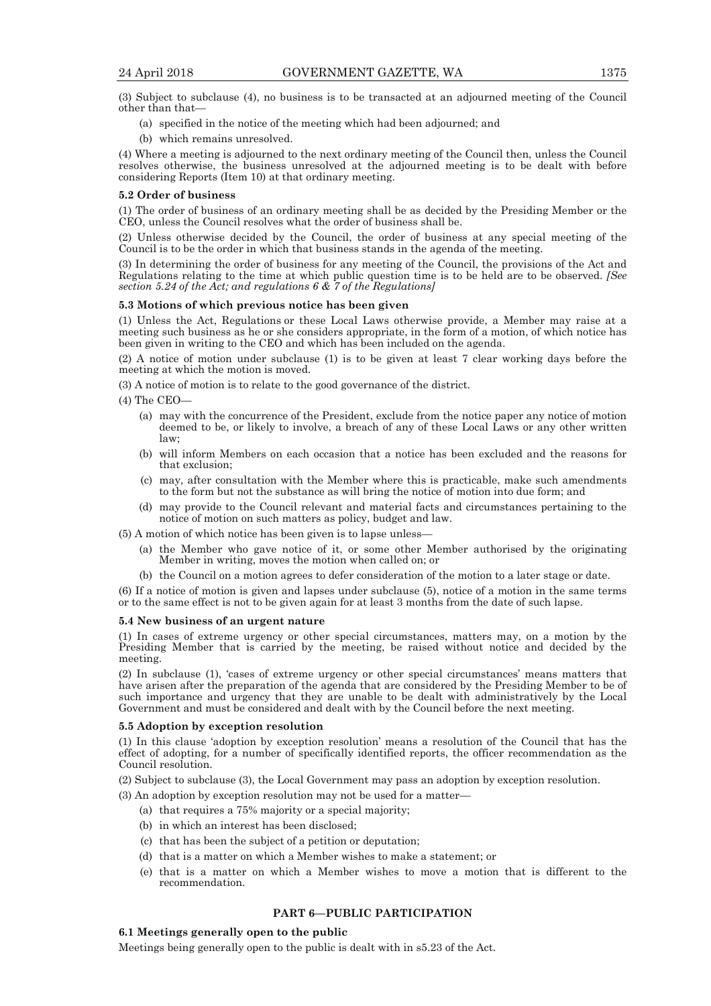(3) Subject to subclause (4), no business is to be transacted at an adjourned meeting of the Council other than that—

- (a) specified in the notice of the meeting which had been adjourned; and
- (b) which remains unresolved.

(4) Where a meeting is adjourned to the next ordinary meeting of the Council then, unless the Council resolves otherwise, the business unresolved at the adjourned meeting is to be dealt with before considering Reports (Item 10) at that ordinary meeting.

#### **5.2 Order of business**

(1) The order of business of an ordinary meeting shall be as decided by the Presiding Member or the CEO, unless the Council resolves what the order of business shall be.

(2) Unless otherwise decided by the Council, the order of business at any special meeting of the Council is to be the order in which that business stands in the agenda of the meeting.

(3) In determining the order of business for any meeting of the Council, the provisions of the Act and Regulations relating to the time at which public question time is to be held are to be observed. *[See section 5.24 of the Act; and regulations 6 & 7 of the Regulations]* 

## **5.3 Motions of which previous notice has been given**

(1) Unless the Act, Regulations or these Local Laws otherwise provide, a Member may raise at a meeting such business as he or she considers appropriate, in the form of a motion, of which notice has been given in writing to the CEO and which has been included on the agenda.

(2) A notice of motion under subclause (1) is to be given at least 7 clear working days before the meeting at which the motion is moved.

(3) A notice of motion is to relate to the good governance of the district.

- (4) The CEO—
	- (a) may with the concurrence of the President, exclude from the notice paper any notice of motion deemed to be, or likely to involve, a breach of any of these Local Laws or any other written law;
	- (b) will inform Members on each occasion that a notice has been excluded and the reasons for that exclusion;
	- (c) may, after consultation with the Member where this is practicable, make such amendments to the form but not the substance as will bring the notice of motion into due form; and
	- (d) may provide to the Council relevant and material facts and circumstances pertaining to the notice of motion on such matters as policy, budget and law.

(5) A motion of which notice has been given is to lapse unless—

- (a) the Member who gave notice of it, or some other Member authorised by the originating Member in writing, moves the motion when called on; or
- (b) the Council on a motion agrees to defer consideration of the motion to a later stage or date.

(6) If a notice of motion is given and lapses under subclause (5), notice of a motion in the same terms or to the same effect is not to be given again for at least 3 months from the date of such lapse.

#### **5.4 New business of an urgent nature**

(1) In cases of extreme urgency or other special circumstances, matters may, on a motion by the Presiding Member that is carried by the meeting, be raised without notice and decided by the meeting.

(2) In subclause (1), 'cases of extreme urgency or other special circumstances' means matters that have arisen after the preparation of the agenda that are considered by the Presiding Member to be of such importance and urgency that they are unable to be dealt with administratively by the Local Government and must be considered and dealt with by the Council before the next meeting.

#### **5.5 Adoption by exception resolution**

(1) In this clause 'adoption by exception resolution' means a resolution of the Council that has the effect of adopting, for a number of specifically identified reports, the officer recommendation as the Council resolution.

(2) Subject to subclause (3), the Local Government may pass an adoption by exception resolution.

(3) An adoption by exception resolution may not be used for a matter—

- (a) that requires a 75% majority or a special majority;
- (b) in which an interest has been disclosed;
- (c) that has been the subject of a petition or deputation;
- (d) that is a matter on which a Member wishes to make a statement; or
- (e) that is a matter on which a Member wishes to move a motion that is different to the recommendation.

## **PART 6—PUBLIC PARTICIPATION**

## **6.1 Meetings generally open to the public**

Meetings being generally open to the public is dealt with in s5.23 of the Act.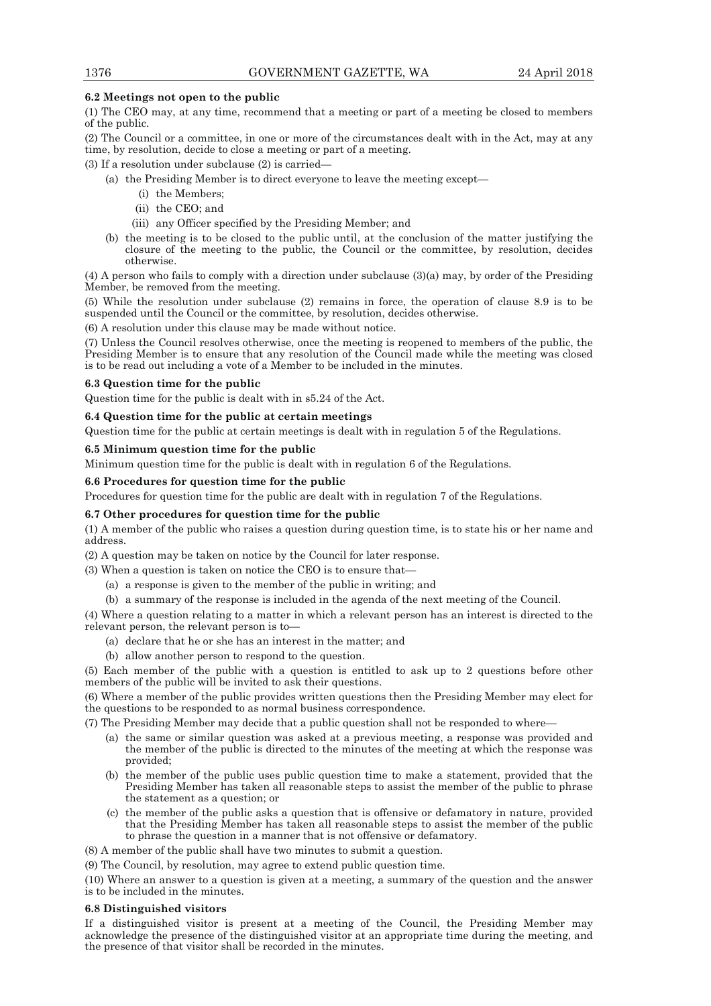## **6.2 Meetings not open to the public**

(1) The CEO may, at any time, recommend that a meeting or part of a meeting be closed to members of the public.

(2) The Council or a committee, in one or more of the circumstances dealt with in the Act, may at any time, by resolution, decide to close a meeting or part of a meeting.

(3) If a resolution under subclause (2) is carried—

- (a) the Presiding Member is to direct everyone to leave the meeting except—
	- (i) the Members;
	- (ii) the CEO; and
	- (iii) any Officer specified by the Presiding Member; and
- (b) the meeting is to be closed to the public until, at the conclusion of the matter justifying the closure of the meeting to the public, the Council or the committee, by resolution, decides otherwise.

(4) A person who fails to comply with a direction under subclause (3)(a) may, by order of the Presiding Member, be removed from the meeting.

(5) While the resolution under subclause (2) remains in force, the operation of clause 8.9 is to be suspended until the Council or the committee, by resolution, decides otherwise.

(6) A resolution under this clause may be made without notice.

(7) Unless the Council resolves otherwise, once the meeting is reopened to members of the public, the Presiding Member is to ensure that any resolution of the Council made while the meeting was closed is to be read out including a vote of a Member to be included in the minutes.

### **6.3 Question time for the public**

Question time for the public is dealt with in s5.24 of the Act.

## **6.4 Question time for the public at certain meetings**

Question time for the public at certain meetings is dealt with in regulation 5 of the Regulations.

### **6.5 Minimum question time for the public**

Minimum question time for the public is dealt with in regulation 6 of the Regulations.

### **6.6 Procedures for question time for the public**

Procedures for question time for the public are dealt with in regulation 7 of the Regulations.

## **6.7 Other procedures for question time for the public**

(1) A member of the public who raises a question during question time, is to state his or her name and address.

(2) A question may be taken on notice by the Council for later response.

(3) When a question is taken on notice the CEO is to ensure that—

- (a) a response is given to the member of the public in writing; and
- (b) a summary of the response is included in the agenda of the next meeting of the Council.

(4) Where a question relating to a matter in which a relevant person has an interest is directed to the relevant person, the relevant person is to—

- (a) declare that he or she has an interest in the matter; and
- (b) allow another person to respond to the question.

(5) Each member of the public with a question is entitled to ask up to 2 questions before other members of the public will be invited to ask their questions.

(6) Where a member of the public provides written questions then the Presiding Member may elect for the questions to be responded to as normal business correspondence.

(7) The Presiding Member may decide that a public question shall not be responded to where—

- (a) the same or similar question was asked at a previous meeting, a response was provided and the member of the public is directed to the minutes of the meeting at which the response was provided;
- (b) the member of the public uses public question time to make a statement, provided that the Presiding Member has taken all reasonable steps to assist the member of the public to phrase the statement as a question; or
- (c) the member of the public asks a question that is offensive or defamatory in nature, provided that the Presiding Member has taken all reasonable steps to assist the member of the public to phrase the question in a manner that is not offensive or defamatory.
- (8) A member of the public shall have two minutes to submit a question.

(9) The Council, by resolution, may agree to extend public question time.

(10) Where an answer to a question is given at a meeting, a summary of the question and the answer is to be included in the minutes.

#### **6.8 Distinguished visitors**

If a distinguished visitor is present at a meeting of the Council, the Presiding Member may acknowledge the presence of the distinguished visitor at an appropriate time during the meeting, and the presence of that visitor shall be recorded in the minutes.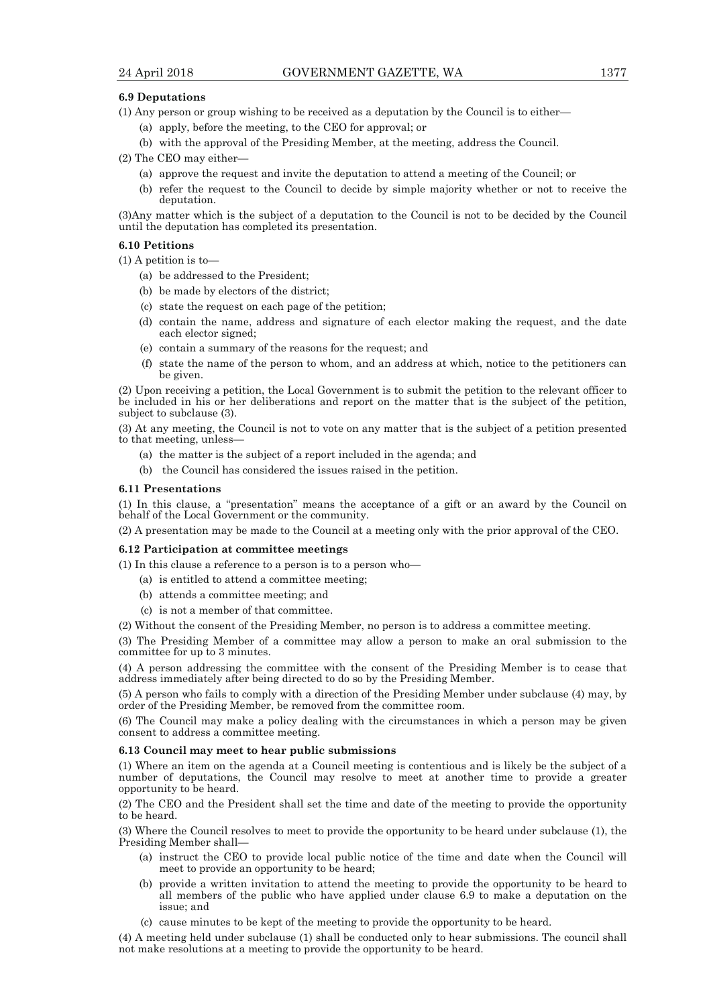#### **6.9 Deputations**

- (1) Any person or group wishing to be received as a deputation by the Council is to either—
	- (a) apply, before the meeting, to the CEO for approval; or
	- (b) with the approval of the Presiding Member, at the meeting, address the Council.
- (2) The CEO may either—
	- (a) approve the request and invite the deputation to attend a meeting of the Council; or
	- (b) refer the request to the Council to decide by simple majority whether or not to receive the deputation.

(3)Any matter which is the subject of a deputation to the Council is not to be decided by the Council until the deputation has completed its presentation.

## **6.10 Petitions**

(1) A petition is to—

- (a) be addressed to the President;
- (b) be made by electors of the district;
- (c) state the request on each page of the petition;
- (d) contain the name, address and signature of each elector making the request, and the date each elector signed;
- (e) contain a summary of the reasons for the request; and
- (f) state the name of the person to whom, and an address at which, notice to the petitioners can be given.

(2) Upon receiving a petition, the Local Government is to submit the petition to the relevant officer to be included in his or her deliberations and report on the matter that is the subject of the petition, subject to subclause (3).

(3) At any meeting, the Council is not to vote on any matter that is the subject of a petition presented to that meeting, unless-

- (a) the matter is the subject of a report included in the agenda; and
- (b) the Council has considered the issues raised in the petition.

#### **6.11 Presentations**

(1) In this clause, a "presentation" means the acceptance of a gift or an award by the Council on behalf of the Local Government or the community.

(2) A presentation may be made to the Council at a meeting only with the prior approval of the CEO.

#### **6.12 Participation at committee meetings**

(1) In this clause a reference to a person is to a person who—

- (a) is entitled to attend a committee meeting;
- (b) attends a committee meeting; and
- (c) is not a member of that committee.

(2) Without the consent of the Presiding Member, no person is to address a committee meeting.

(3) The Presiding Member of a committee may allow a person to make an oral submission to the committee for up to 3 minutes.

(4) A person addressing the committee with the consent of the Presiding Member is to cease that address immediately after being directed to do so by the Presiding Member.

(5) A person who fails to comply with a direction of the Presiding Member under subclause (4) may, by order of the Presiding Member, be removed from the committee room.

(6) The Council may make a policy dealing with the circumstances in which a person may be given consent to address a committee meeting.

#### **6.13 Council may meet to hear public submissions**

(1) Where an item on the agenda at a Council meeting is contentious and is likely be the subject of a number of deputations, the Council may resolve to meet at another time to provide a greater opportunity to be heard.

(2) The CEO and the President shall set the time and date of the meeting to provide the opportunity to be heard.

(3) Where the Council resolves to meet to provide the opportunity to be heard under subclause (1), the Presiding Member shall—

- (a) instruct the CEO to provide local public notice of the time and date when the Council will meet to provide an opportunity to be heard;
- (b) provide a written invitation to attend the meeting to provide the opportunity to be heard to all members of the public who have applied under clause 6.9 to make a deputation on the issue; and
- (c) cause minutes to be kept of the meeting to provide the opportunity to be heard.

(4) A meeting held under subclause (1) shall be conducted only to hear submissions. The council shall not make resolutions at a meeting to provide the opportunity to be heard.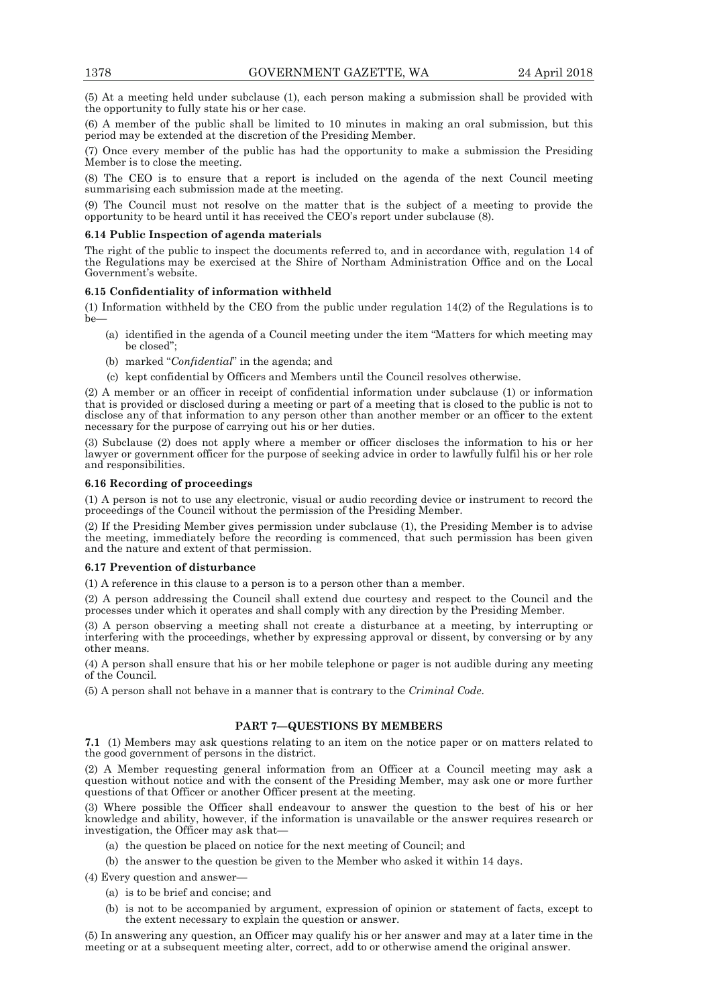(5) At a meeting held under subclause (1), each person making a submission shall be provided with the opportunity to fully state his or her case.

(6) A member of the public shall be limited to 10 minutes in making an oral submission, but this period may be extended at the discretion of the Presiding Member.

(7) Once every member of the public has had the opportunity to make a submission the Presiding Member is to close the meeting.

(8) The CEO is to ensure that a report is included on the agenda of the next Council meeting summarising each submission made at the meeting.

(9) The Council must not resolve on the matter that is the subject of a meeting to provide the opportunity to be heard until it has received the CEO's report under subclause (8).

#### **6.14 Public Inspection of agenda materials**

The right of the public to inspect the documents referred to, and in accordance with, regulation 14 of the Regulations may be exercised at the Shire of Northam Administration Office and on the Local Government's website.

## **6.15 Confidentiality of information withheld**

(1) Information withheld by the CEO from the public under regulation 14(2) of the Regulations is to be—

- (a) identified in the agenda of a Council meeting under the item "Matters for which meeting may be closed";
- (b) marked "*Confidential*" in the agenda; and
- (c) kept confidential by Officers and Members until the Council resolves otherwise.

(2) A member or an officer in receipt of confidential information under subclause (1) or information that is provided or disclosed during a meeting or part of a meeting that is closed to the public is not to disclose any of that information to any person other than another member or an officer to the extent necessary for the purpose of carrying out his or her duties.

(3) Subclause (2) does not apply where a member or officer discloses the information to his or her lawyer or government officer for the purpose of seeking advice in order to lawfully fulfil his or her role and responsibilities.

### **6.16 Recording of proceedings**

(1) A person is not to use any electronic, visual or audio recording device or instrument to record the proceedings of the Council without the permission of the Presiding Member.

(2) If the Presiding Member gives permission under subclause (1), the Presiding Member is to advise the meeting, immediately before the recording is commenced, that such permission has been given and the nature and extent of that permission.

## **6.17 Prevention of disturbance**

(1) A reference in this clause to a person is to a person other than a member.

(2) A person addressing the Council shall extend due courtesy and respect to the Council and the processes under which it operates and shall comply with any direction by the Presiding Member.

(3) A person observing a meeting shall not create a disturbance at a meeting, by interrupting or interfering with the proceedings, whether by expressing approval or dissent, by conversing or by any other means.

(4) A person shall ensure that his or her mobile telephone or pager is not audible during any meeting of the Council.

(5) A person shall not behave in a manner that is contrary to the *Criminal Code*.

## **PART 7—QUESTIONS BY MEMBERS**

**7.1** (1) Members may ask questions relating to an item on the notice paper or on matters related to the good government of persons in the district.

(2) A Member requesting general information from an Officer at a Council meeting may ask a question without notice and with the consent of the Presiding Member, may ask one or more further questions of that Officer or another Officer present at the meeting.

(3) Where possible the Officer shall endeavour to answer the question to the best of his or her knowledge and ability, however, if the information is unavailable or the answer requires research or investigation, the Officer may ask that—

- (a) the question be placed on notice for the next meeting of Council; and
- (b) the answer to the question be given to the Member who asked it within 14 days.

(4) Every question and answer—

- (a) is to be brief and concise; and
- (b) is not to be accompanied by argument, expression of opinion or statement of facts, except to the extent necessary to explain the question or answer.

(5) In answering any question, an Officer may qualify his or her answer and may at a later time in the meeting or at a subsequent meeting alter, correct, add to or otherwise amend the original answer.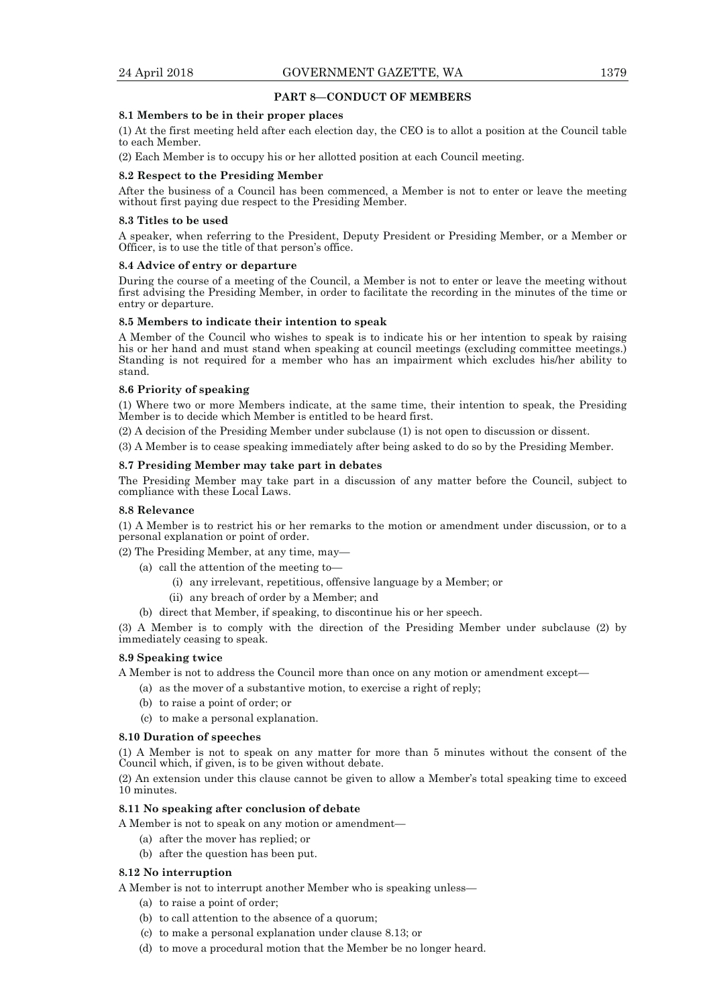## **PART 8—CONDUCT OF MEMBERS**

#### **8.1 Members to be in their proper places**

(1) At the first meeting held after each election day, the CEO is to allot a position at the Council table to each Member.

(2) Each Member is to occupy his or her allotted position at each Council meeting.

#### **8.2 Respect to the Presiding Member**

After the business of a Council has been commenced, a Member is not to enter or leave the meeting without first paying due respect to the Presiding Member.

#### **8.3 Titles to be used**

A speaker, when referring to the President, Deputy President or Presiding Member, or a Member or Officer, is to use the title of that person's office.

#### **8.4 Advice of entry or departure**

During the course of a meeting of the Council, a Member is not to enter or leave the meeting without first advising the Presiding Member, in order to facilitate the recording in the minutes of the time or entry or departure.

## **8.5 Members to indicate their intention to speak**

A Member of the Council who wishes to speak is to indicate his or her intention to speak by raising his or her hand and must stand when speaking at council meetings (excluding committee meetings.) Standing is not required for a member who has an impairment which excludes his/her ability to stand.

#### **8.6 Priority of speaking**

(1) Where two or more Members indicate, at the same time, their intention to speak, the Presiding Member is to decide which Member is entitled to be heard first.

(2) A decision of the Presiding Member under subclause (1) is not open to discussion or dissent.

(3) A Member is to cease speaking immediately after being asked to do so by the Presiding Member.

#### **8.7 Presiding Member may take part in debates**

The Presiding Member may take part in a discussion of any matter before the Council, subject to compliance with these Local Laws.

#### **8.8 Relevance**

(1) A Member is to restrict his or her remarks to the motion or amendment under discussion, or to a personal explanation or point of order.

(2) The Presiding Member, at any time, may—

- (a) call the attention of the meeting to—
	- (i) any irrelevant, repetitious, offensive language by a Member; or
	- (ii) any breach of order by a Member; and
- (b) direct that Member, if speaking, to discontinue his or her speech.

(3) A Member is to comply with the direction of the Presiding Member under subclause (2) by immediately ceasing to speak.

#### **8.9 Speaking twice**

A Member is not to address the Council more than once on any motion or amendment except—

- (a) as the mover of a substantive motion, to exercise a right of reply;
- (b) to raise a point of order; or
- (c) to make a personal explanation.

#### **8.10 Duration of speeches**

(1) A Member is not to speak on any matter for more than 5 minutes without the consent of the Council which, if given, is to be given without debate.

(2) An extension under this clause cannot be given to allow a Member's total speaking time to exceed 10 minutes.

#### **8.11 No speaking after conclusion of debate**

A Member is not to speak on any motion or amendment—

- (a) after the mover has replied; or
- (b) after the question has been put.

## **8.12 No interruption**

A Member is not to interrupt another Member who is speaking unless—

- (a) to raise a point of order;
- (b) to call attention to the absence of a quorum;
- (c) to make a personal explanation under clause 8.13; or
- (d) to move a procedural motion that the Member be no longer heard.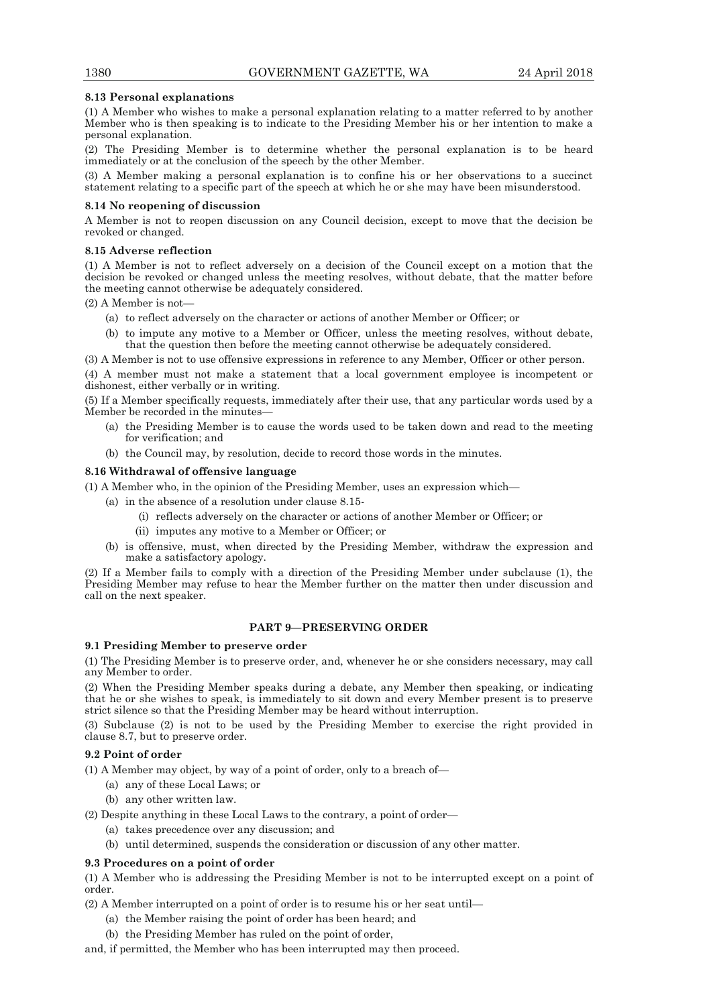### **8.13 Personal explanations**

(1) A Member who wishes to make a personal explanation relating to a matter referred to by another Member who is then speaking is to indicate to the Presiding Member his or her intention to make a personal explanation.

(2) The Presiding Member is to determine whether the personal explanation is to be heard immediately or at the conclusion of the speech by the other Member.

(3) A Member making a personal explanation is to confine his or her observations to a succinct statement relating to a specific part of the speech at which he or she may have been misunderstood.

#### **8.14 No reopening of discussion**

A Member is not to reopen discussion on any Council decision, except to move that the decision be revoked or changed.

#### **8.15 Adverse reflection**

(1) A Member is not to reflect adversely on a decision of the Council except on a motion that the decision be revoked or changed unless the meeting resolves, without debate, that the matter before the meeting cannot otherwise be adequately considered.

(2) A Member is not—

- (a) to reflect adversely on the character or actions of another Member or Officer; or
- (b) to impute any motive to a Member or Officer, unless the meeting resolves, without debate, that the question then before the meeting cannot otherwise be adequately considered.

(3) A Member is not to use offensive expressions in reference to any Member, Officer or other person.

(4) A member must not make a statement that a local government employee is incompetent or dishonest, either verbally or in writing.

(5) If a Member specifically requests, immediately after their use, that any particular words used by a Member be recorded in the minutes—

- (a) the Presiding Member is to cause the words used to be taken down and read to the meeting for verification; and
- (b) the Council may, by resolution, decide to record those words in the minutes.

#### **8.16 Withdrawal of offensive language**

(1) A Member who, in the opinion of the Presiding Member, uses an expression which—

- (a) in the absence of a resolution under clause 8.15-
	- (i) reflects adversely on the character or actions of another Member or Officer; or
	- (ii) imputes any motive to a Member or Officer; or
- (b) is offensive, must, when directed by the Presiding Member, withdraw the expression and make a satisfactory apology.

(2) If a Member fails to comply with a direction of the Presiding Member under subclause (1), the Presiding Member may refuse to hear the Member further on the matter then under discussion and call on the next speaker.

## **PART 9—PRESERVING ORDER**

### **9.1 Presiding Member to preserve order**

(1) The Presiding Member is to preserve order, and, whenever he or she considers necessary, may call any Member to order.

(2) When the Presiding Member speaks during a debate, any Member then speaking, or indicating that he or she wishes to speak, is immediately to sit down and every Member present is to preserve strict silence so that the Presiding Member may be heard without interruption.

(3) Subclause (2) is not to be used by the Presiding Member to exercise the right provided in clause 8.7, but to preserve order.

## **9.2 Point of order**

(1) A Member may object, by way of a point of order, only to a breach of—

- (a) any of these Local Laws; or
- (b) any other written law.
- (2) Despite anything in these Local Laws to the contrary, a point of order—
	- (a) takes precedence over any discussion; and
		- (b) until determined, suspends the consideration or discussion of any other matter.

#### **9.3 Procedures on a point of order**

(1) A Member who is addressing the Presiding Member is not to be interrupted except on a point of order.

(2) A Member interrupted on a point of order is to resume his or her seat until—

- (a) the Member raising the point of order has been heard; and
	- (b) the Presiding Member has ruled on the point of order,

and, if permitted, the Member who has been interrupted may then proceed.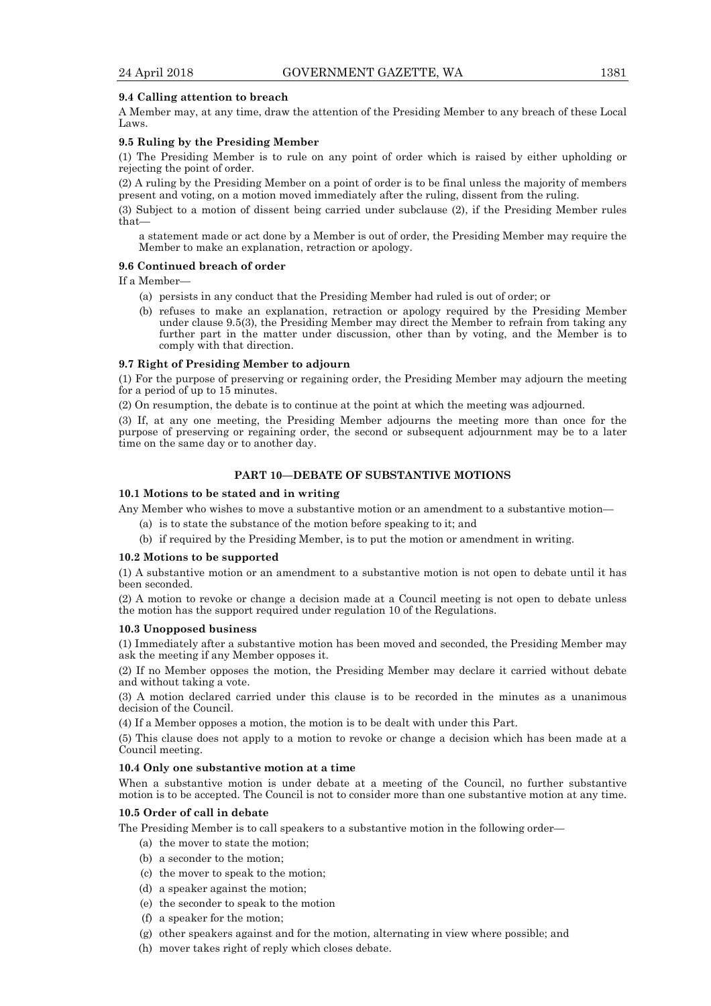#### **9.4 Calling attention to breach**

A Member may, at any time, draw the attention of the Presiding Member to any breach of these Local Laws.

#### **9.5 Ruling by the Presiding Member**

(1) The Presiding Member is to rule on any point of order which is raised by either upholding or rejecting the point of order.

(2) A ruling by the Presiding Member on a point of order is to be final unless the majority of members present and voting, on a motion moved immediately after the ruling, dissent from the ruling.

(3) Subject to a motion of dissent being carried under subclause (2), if the Presiding Member rules that—

a statement made or act done by a Member is out of order, the Presiding Member may require the Member to make an explanation, retraction or apology.

## **9.6 Continued breach of order**

If a Member—

- (a) persists in any conduct that the Presiding Member had ruled is out of order; or
- (b) refuses to make an explanation, retraction or apology required by the Presiding Member under clause 9.5(3), the Presiding Member may direct the Member to refrain from taking any further part in the matter under discussion, other than by voting, and the Member is to comply with that direction.

#### **9.7 Right of Presiding Member to adjourn**

(1) For the purpose of preserving or regaining order, the Presiding Member may adjourn the meeting for a period of up to 15 minutes.

(2) On resumption, the debate is to continue at the point at which the meeting was adjourned.

(3) If, at any one meeting, the Presiding Member adjourns the meeting more than once for the purpose of preserving or regaining order, the second or subsequent adjournment may be to a later time on the same day or to another day.

#### **PART 10—DEBATE OF SUBSTANTIVE MOTIONS**

## **10.1 Motions to be stated and in writing**

Any Member who wishes to move a substantive motion or an amendment to a substantive motion—

- (a) is to state the substance of the motion before speaking to it; and
- (b) if required by the Presiding Member, is to put the motion or amendment in writing.

#### **10.2 Motions to be supported**

(1) A substantive motion or an amendment to a substantive motion is not open to debate until it has been seconded.

(2) A motion to revoke or change a decision made at a Council meeting is not open to debate unless the motion has the support required under regulation 10 of the Regulations.

#### **10.3 Unopposed business**

(1) Immediately after a substantive motion has been moved and seconded, the Presiding Member may ask the meeting if any Member opposes it.

(2) If no Member opposes the motion, the Presiding Member may declare it carried without debate and without taking a vote.

(3) A motion declared carried under this clause is to be recorded in the minutes as a unanimous decision of the Council.

(4) If a Member opposes a motion, the motion is to be dealt with under this Part.

(5) This clause does not apply to a motion to revoke or change a decision which has been made at a Council meeting.

#### **10.4 Only one substantive motion at a time**

When a substantive motion is under debate at a meeting of the Council, no further substantive motion is to be accepted. The Council is not to consider more than one substantive motion at any time.

#### **10.5 Order of call in debate**

The Presiding Member is to call speakers to a substantive motion in the following order—

- (a) the mover to state the motion;
- (b) a seconder to the motion;
- (c) the mover to speak to the motion;
- (d) a speaker against the motion;
- (e) the seconder to speak to the motion
- (f) a speaker for the motion;
- (g) other speakers against and for the motion, alternating in view where possible; and
- (h) mover takes right of reply which closes debate.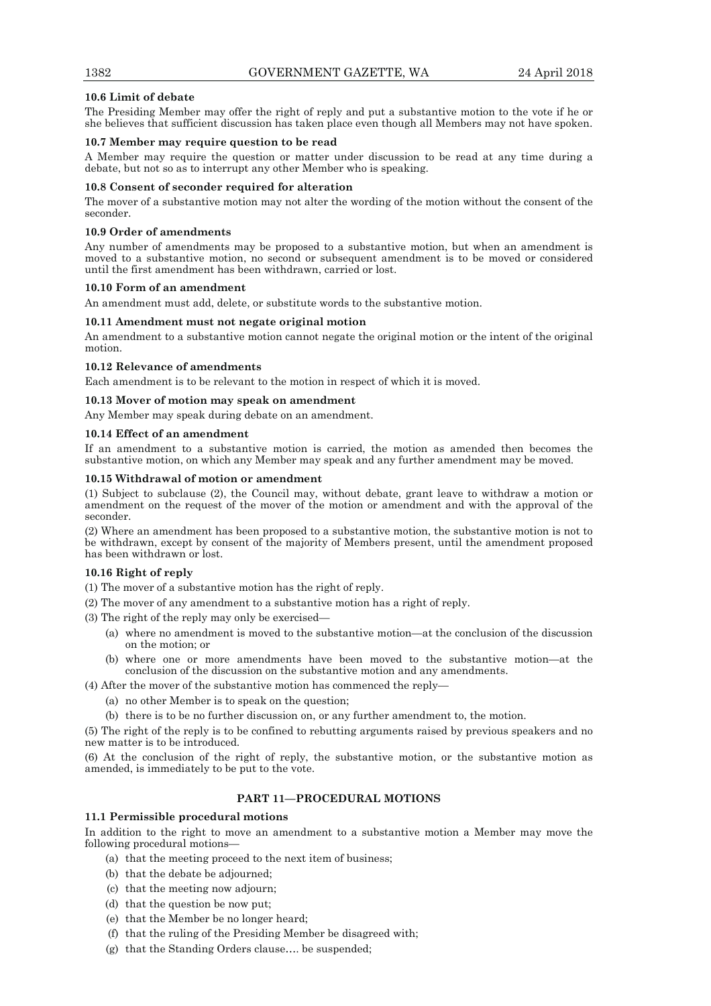### **10.6 Limit of debate**

The Presiding Member may offer the right of reply and put a substantive motion to the vote if he or she believes that sufficient discussion has taken place even though all Members may not have spoken.

#### **10.7 Member may require question to be read**

A Member may require the question or matter under discussion to be read at any time during a debate, but not so as to interrupt any other Member who is speaking.

#### **10.8 Consent of seconder required for alteration**

The mover of a substantive motion may not alter the wording of the motion without the consent of the seconder.

#### **10.9 Order of amendments**

Any number of amendments may be proposed to a substantive motion, but when an amendment is moved to a substantive motion, no second or subsequent amendment is to be moved or considered until the first amendment has been withdrawn, carried or lost.

#### **10.10 Form of an amendment**

An amendment must add, delete, or substitute words to the substantive motion.

## **10.11 Amendment must not negate original motion**

An amendment to a substantive motion cannot negate the original motion or the intent of the original motion.

### **10.12 Relevance of amendments**

Each amendment is to be relevant to the motion in respect of which it is moved.

### **10.13 Mover of motion may speak on amendment**

Any Member may speak during debate on an amendment.

### **10.14 Effect of an amendment**

If an amendment to a substantive motion is carried, the motion as amended then becomes the substantive motion, on which any Member may speak and any further amendment may be moved.

### **10.15 Withdrawal of motion or amendment**

(1) Subject to subclause (2), the Council may, without debate, grant leave to withdraw a motion or amendment on the request of the mover of the motion or amendment and with the approval of the seconder.

(2) Where an amendment has been proposed to a substantive motion, the substantive motion is not to be withdrawn, except by consent of the majority of Members present, until the amendment proposed has been withdrawn or lost.

## **10.16 Right of reply**

(1) The mover of a substantive motion has the right of reply.

(2) The mover of any amendment to a substantive motion has a right of reply.

(3) The right of the reply may only be exercised—

- (a) where no amendment is moved to the substantive motion—at the conclusion of the discussion on the motion; or
- (b) where one or more amendments have been moved to the substantive motion—at the conclusion of the discussion on the substantive motion and any amendments.
- (4) After the mover of the substantive motion has commenced the reply—
	- (a) no other Member is to speak on the question;
	- (b) there is to be no further discussion on, or any further amendment to, the motion.

(5) The right of the reply is to be confined to rebutting arguments raised by previous speakers and no new matter is to be introduced.

(6) At the conclusion of the right of reply, the substantive motion, or the substantive motion as amended, is immediately to be put to the vote.

## **PART 11—PROCEDURAL MOTIONS**

#### **11.1 Permissible procedural motions**

In addition to the right to move an amendment to a substantive motion a Member may move the following procedural motions—

- (a) that the meeting proceed to the next item of business;
- (b) that the debate be adjourned;
- (c) that the meeting now adjourn;
- (d) that the question be now put;
- (e) that the Member be no longer heard;
- (f) that the ruling of the Presiding Member be disagreed with;
- (g) that the Standing Orders clause…. be suspended;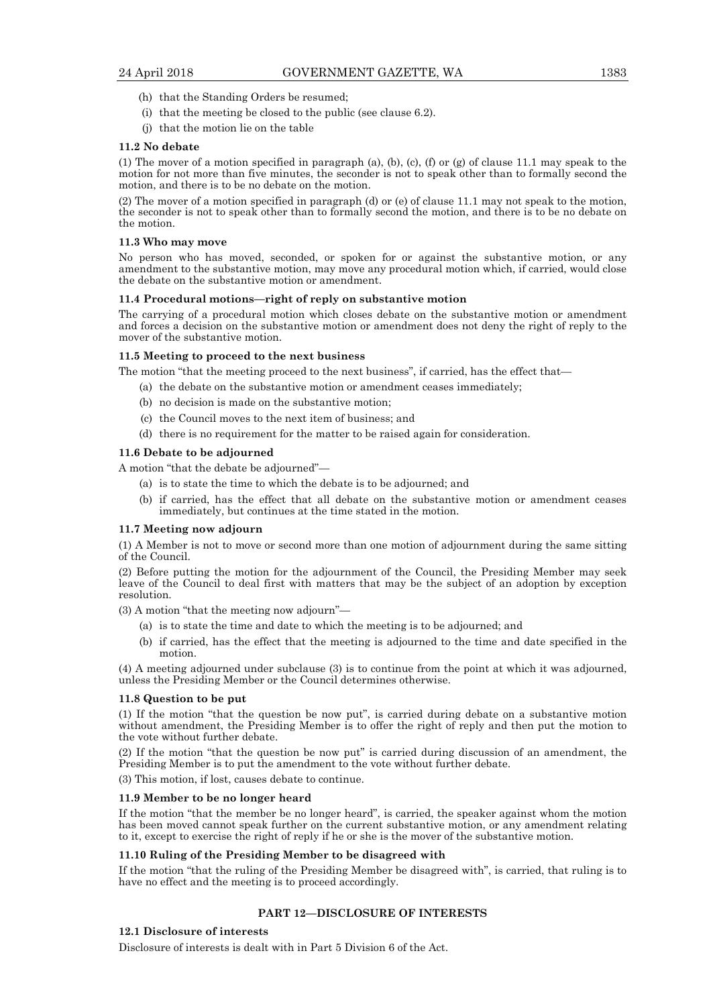- (h) that the Standing Orders be resumed;
- (i) that the meeting be closed to the public (see clause 6.2).
- (j) that the motion lie on the table

#### **11.2 No debate**

(1) The mover of a motion specified in paragraph (a), (b), (c), (f) or (g) of clause 11.1 may speak to the motion for not more than five minutes, the seconder is not to speak other than to formally second the motion, and there is to be no debate on the motion.

(2) The mover of a motion specified in paragraph (d) or (e) of clause 11.1 may not speak to the motion, the seconder is not to speak other than to formally second the motion, and there is to be no debate on the motion.

#### **11.3 Who may move**

No person who has moved, seconded, or spoken for or against the substantive motion, or any amendment to the substantive motion, may move any procedural motion which, if carried, would close the debate on the substantive motion or amendment.

#### **11.4 Procedural motions—right of reply on substantive motion**

The carrying of a procedural motion which closes debate on the substantive motion or amendment and forces a decision on the substantive motion or amendment does not deny the right of reply to the mover of the substantive motion.

#### **11.5 Meeting to proceed to the next business**

The motion "that the meeting proceed to the next business", if carried, has the effect that—

- (a) the debate on the substantive motion or amendment ceases immediately;
- (b) no decision is made on the substantive motion;
- (c) the Council moves to the next item of business; and
- (d) there is no requirement for the matter to be raised again for consideration.

#### **11.6 Debate to be adjourned**

A motion "that the debate be adjourned"—

- (a) is to state the time to which the debate is to be adjourned; and
- (b) if carried, has the effect that all debate on the substantive motion or amendment ceases immediately, but continues at the time stated in the motion.

#### **11.7 Meeting now adjourn**

(1) A Member is not to move or second more than one motion of adjournment during the same sitting of the Council.

(2) Before putting the motion for the adjournment of the Council, the Presiding Member may seek leave of the Council to deal first with matters that may be the subject of an adoption by exception resolution.

(3) A motion "that the meeting now adjourn"—

- (a) is to state the time and date to which the meeting is to be adjourned; and
- (b) if carried, has the effect that the meeting is adjourned to the time and date specified in the motion.

(4) A meeting adjourned under subclause (3) is to continue from the point at which it was adjourned, unless the Presiding Member or the Council determines otherwise.

#### **11.8 Question to be put**

(1) If the motion "that the question be now put", is carried during debate on a substantive motion without amendment, the Presiding Member is to offer the right of reply and then put the motion to the vote without further debate.

(2) If the motion "that the question be now put" is carried during discussion of an amendment, the Presiding Member is to put the amendment to the vote without further debate.

(3) This motion, if lost, causes debate to continue.

#### **11.9 Member to be no longer heard**

If the motion "that the member be no longer heard", is carried, the speaker against whom the motion has been moved cannot speak further on the current substantive motion, or any amendment relating to it, except to exercise the right of reply if he or she is the mover of the substantive motion.

## **11.10 Ruling of the Presiding Member to be disagreed with**

If the motion "that the ruling of the Presiding Member be disagreed with", is carried, that ruling is to have no effect and the meeting is to proceed accordingly.

## **PART 12—DISCLOSURE OF INTERESTS**

#### **12.1 Disclosure of interests**

Disclosure of interests is dealt with in Part 5 Division 6 of the Act.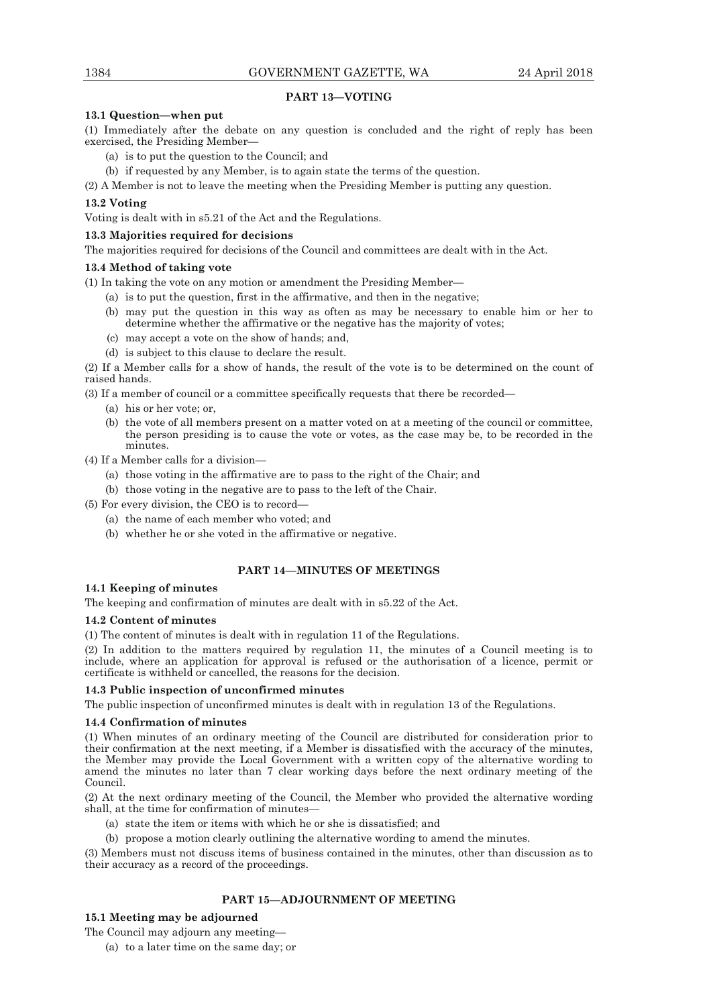## **PART 13—VOTING**

## **13.1 Question—when put**

(1) Immediately after the debate on any question is concluded and the right of reply has been exercised, the Presiding Member—

- (a) is to put the question to the Council; and
- (b) if requested by any Member, is to again state the terms of the question.
- (2) A Member is not to leave the meeting when the Presiding Member is putting any question.

## **13.2 Voting**

Voting is dealt with in s5.21 of the Act and the Regulations.

## **13.3 Majorities required for decisions**

The majorities required for decisions of the Council and committees are dealt with in the Act.

## **13.4 Method of taking vote**

- (1) In taking the vote on any motion or amendment the Presiding Member—
	- (a) is to put the question, first in the affirmative, and then in the negative;
	- (b) may put the question in this way as often as may be necessary to enable him or her to determine whether the affirmative or the negative has the majority of votes;
	- (c) may accept a vote on the show of hands; and,
	- (d) is subject to this clause to declare the result.

(2) If a Member calls for a show of hands, the result of the vote is to be determined on the count of raised hands.

(3) If a member of council or a committee specifically requests that there be recorded—

- (a) his or her vote; or,
- (b) the vote of all members present on a matter voted on at a meeting of the council or committee, the person presiding is to cause the vote or votes, as the case may be, to be recorded in the minutes.
- (4) If a Member calls for a division—
	- (a) those voting in the affirmative are to pass to the right of the Chair; and
	- (b) those voting in the negative are to pass to the left of the Chair.
- (5) For every division, the CEO is to record—
	- (a) the name of each member who voted; and
	- (b) whether he or she voted in the affirmative or negative.

## **PART 14—MINUTES OF MEETINGS**

## **14.1 Keeping of minutes**

The keeping and confirmation of minutes are dealt with in s5.22 of the Act.

## **14.2 Content of minutes**

(1) The content of minutes is dealt with in regulation 11 of the Regulations.

(2) In addition to the matters required by regulation 11, the minutes of a Council meeting is to include, where an application for approval is refused or the authorisation of a licence, permit or certificate is withheld or cancelled, the reasons for the decision.

## **14.3 Public inspection of unconfirmed minutes**

The public inspection of unconfirmed minutes is dealt with in regulation 13 of the Regulations.

## **14.4 Confirmation of minutes**

(1) When minutes of an ordinary meeting of the Council are distributed for consideration prior to their confirmation at the next meeting, if a Member is dissatisfied with the accuracy of the minutes, the Member may provide the Local Government with a written copy of the alternative wording to amend the minutes no later than 7 clear working days before the next ordinary meeting of the Council.

(2) At the next ordinary meeting of the Council, the Member who provided the alternative wording shall, at the time for confirmation of minutes—

- (a) state the item or items with which he or she is dissatisfied; and
- (b) propose a motion clearly outlining the alternative wording to amend the minutes.

(3) Members must not discuss items of business contained in the minutes, other than discussion as to their accuracy as a record of the proceedings.

## **PART 15—ADJOURNMENT OF MEETING**

## **15.1 Meeting may be adjourned**

The Council may adjourn any meeting—

(a) to a later time on the same day; or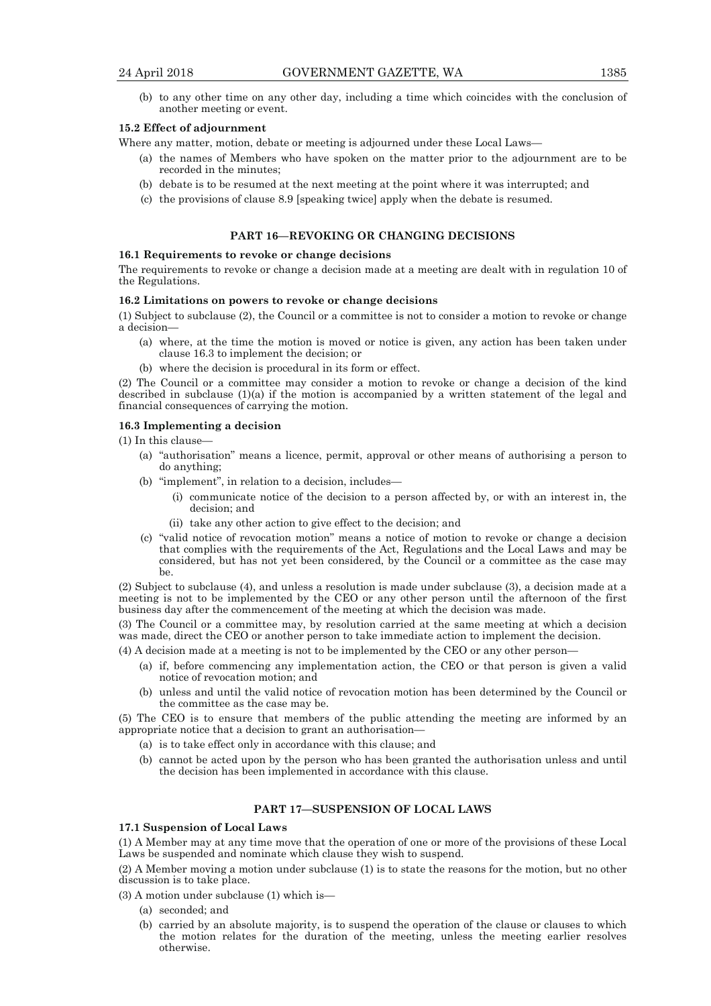(b) to any other time on any other day, including a time which coincides with the conclusion of another meeting or event.

#### **15.2 Effect of adjournment**

Where any matter, motion, debate or meeting is adjourned under these Local Laws—

- (a) the names of Members who have spoken on the matter prior to the adjournment are to be recorded in the minutes;
- (b) debate is to be resumed at the next meeting at the point where it was interrupted; and
- (c) the provisions of clause 8.9 [speaking twice] apply when the debate is resumed.

## **PART 16—REVOKING OR CHANGING DECISIONS**

## **16.1 Requirements to revoke or change decisions**

The requirements to revoke or change a decision made at a meeting are dealt with in regulation 10 of the Regulations.

#### **16.2 Limitations on powers to revoke or change decisions**

(1) Subject to subclause (2), the Council or a committee is not to consider a motion to revoke or change a decision—

- (a) where, at the time the motion is moved or notice is given, any action has been taken under clause 16.3 to implement the decision; or
- (b) where the decision is procedural in its form or effect.

(2) The Council or a committee may consider a motion to revoke or change a decision of the kind described in subclause (1)(a) if the motion is accompanied by a written statement of the legal and financial consequences of carrying the motion.

#### **16.3 Implementing a decision**

(1) In this clause—

- (a) "authorisation" means a licence, permit, approval or other means of authorising a person to do anything;
- (b) "implement", in relation to a decision, includes—
	- (i) communicate notice of the decision to a person affected by, or with an interest in, the decision; and
	- (ii) take any other action to give effect to the decision; and
- (c) "valid notice of revocation motion" means a notice of motion to revoke or change a decision that complies with the requirements of the Act, Regulations and the Local Laws and may be considered, but has not yet been considered, by the Council or a committee as the case may be.

(2) Subject to subclause (4), and unless a resolution is made under subclause (3), a decision made at a meeting is not to be implemented by the CEO or any other person until the afternoon of the first business day after the commencement of the meeting at which the decision was made.

(3) The Council or a committee may, by resolution carried at the same meeting at which a decision was made, direct the CEO or another person to take immediate action to implement the decision.

(4) A decision made at a meeting is not to be implemented by the CEO or any other person—

- (a) if, before commencing any implementation action, the CEO or that person is given a valid notice of revocation motion; and
- (b) unless and until the valid notice of revocation motion has been determined by the Council or the committee as the case may be.

(5) The CEO is to ensure that members of the public attending the meeting are informed by an appropriate notice that a decision to grant an authorisation—

- (a) is to take effect only in accordance with this clause; and
- (b) cannot be acted upon by the person who has been granted the authorisation unless and until the decision has been implemented in accordance with this clause.

## **PART 17—SUSPENSION OF LOCAL LAWS**

## **17.1 Suspension of Local Laws**

(1) A Member may at any time move that the operation of one or more of the provisions of these Local Laws be suspended and nominate which clause they wish to suspend.

(2) A Member moving a motion under subclause (1) is to state the reasons for the motion, but no other discussion is to take place.

(3) A motion under subclause (1) which is—

- (a) seconded; and
- (b) carried by an absolute majority, is to suspend the operation of the clause or clauses to which the motion relates for the duration of the meeting, unless the meeting earlier resolves otherwise.